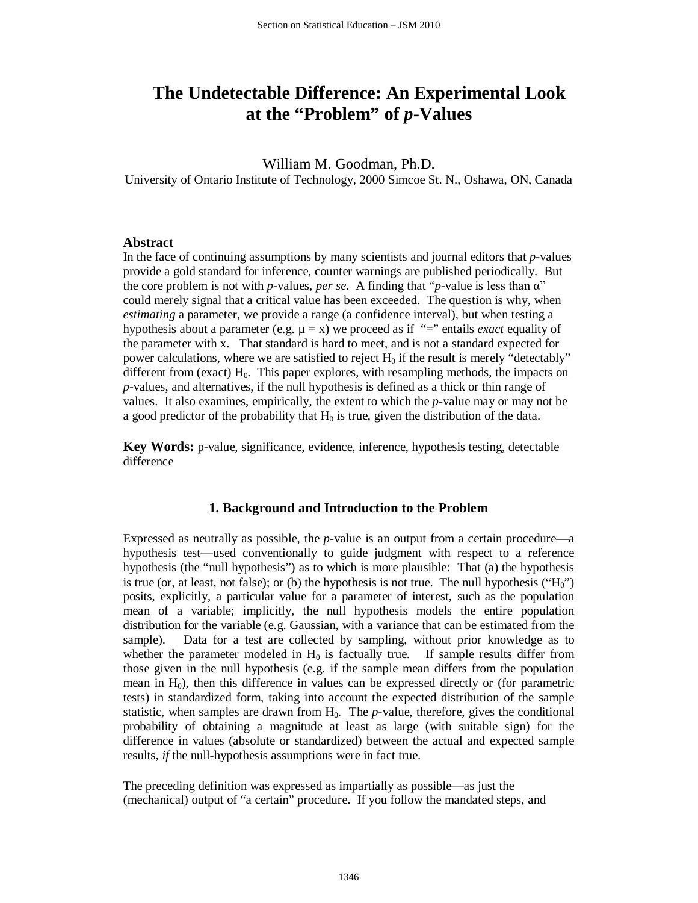# **The Undetectable Difference: An Experimental Look at the "Problem" of** *p***-Values**

William M. Goodman, Ph.D.

University of Ontario Institute of Technology, 2000 Simcoe St. N., Oshawa, ON, Canada

## **Abstract**

In the face of continuing assumptions by many scientists and journal editors that *p*-values provide a gold standard for inference, counter warnings are published periodically. But the core problem is not with *p*-values, *per se*. A finding that "*p*-value is less than α" could merely signal that a critical value has been exceeded. The question is why, when *estimating* a parameter, we provide a range (a confidence interval), but when testing a hypothesis about a parameter (e.g.  $\mu = x$ ) we proceed as if "=" entails *exact* equality of the parameter with x. That standard is hard to meet, and is not a standard expected for power calculations, where we are satisfied to reject  $H_0$  if the result is merely "detectably" different from (exact)  $H_0$ . This paper explores, with resampling methods, the impacts on *p*-values, and alternatives, if the null hypothesis is defined as a thick or thin range of values. It also examines, empirically, the extent to which the *p*-value may or may not be a good predictor of the probability that  $H_0$  is true, given the distribution of the data.

**Key Words:** p-value, significance, evidence, inference, hypothesis testing, detectable difference

## **1. Background and Introduction to the Problem**

Expressed as neutrally as possible, the *p-*value is an output from a certain procedure—a hypothesis test—used conventionally to guide judgment with respect to a reference hypothesis (the "null hypothesis") as to which is more plausible: That (a) the hypothesis is true (or, at least, not false); or (b) the hypothesis is not true. The null hypothesis (" $H_0$ ") posits, explicitly, a particular value for a parameter of interest, such as the population mean of a variable; implicitly, the null hypothesis models the entire population distribution for the variable (e.g. Gaussian, with a variance that can be estimated from the sample). Data for a test are collected by sampling, without prior knowledge as to whether the parameter modeled in  $H_0$  is factually true. If sample results differ from those given in the null hypothesis (e.g. if the sample mean differs from the population mean in  $H_0$ ), then this difference in values can be expressed directly or (for parametric tests) in standardized form, taking into account the expected distribution of the sample statistic, when samples are drawn from  $H_0$ . The *p*-value, therefore, gives the conditional probability of obtaining a magnitude at least as large (with suitable sign) for the difference in values (absolute or standardized) between the actual and expected sample results, *if* the null-hypothesis assumptions were in fact true.

The preceding definition was expressed as impartially as possible—as just the (mechanical) output of "a certain" procedure. If you follow the mandated steps, and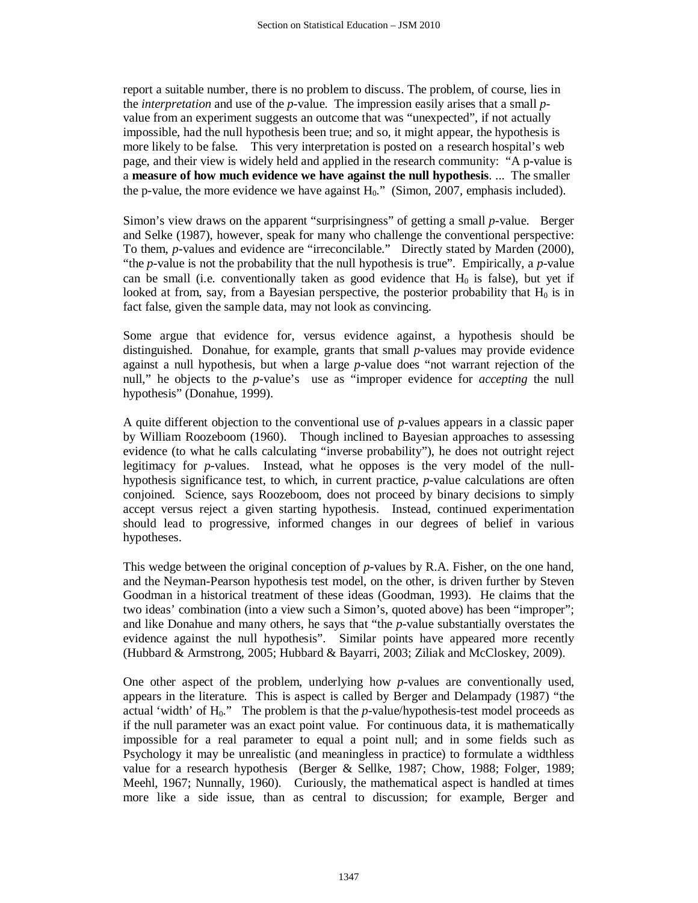report a suitable number, there is no problem to discuss. The problem, of course, lies in the *interpretation* and use of the *p-*value. The impression easily arises that a small *p*value from an experiment suggests an outcome that was "unexpected", if not actually impossible, had the null hypothesis been true; and so, it might appear, the hypothesis is more likely to be false. This very interpretation is posted on a research hospital's web page, and their view is widely held and applied in the research community: "A p-value is a **measure of how much evidence we have against the null hypothesis**. ... The smaller the p-value, the more evidence we have against  $H_0$ ." (Simon, 2007, emphasis included).

Simon's view draws on the apparent "surprisingness" of getting a small *p*-value. Berger and Selke (1987), however, speak for many who challenge the conventional perspective: To them, *p*-values and evidence are "irreconcilable." Directly stated by Marden (2000), "the *p-*value is not the probability that the null hypothesis is true". Empirically, a *p*-value can be small (i.e. conventionally taken as good evidence that  $H_0$  is false), but yet if looked at from, say, from a Bayesian perspective, the posterior probability that  $H_0$  is in fact false, given the sample data, may not look as convincing.

Some argue that evidence for, versus evidence against, a hypothesis should be distinguished. Donahue, for example, grants that small *p*-values may provide evidence against a null hypothesis, but when a large *p*-value does "not warrant rejection of the null," he objects to the *p*-value's use as "improper evidence for *accepting* the null hypothesis" (Donahue, 1999).

A quite different objection to the conventional use of *p*-values appears in a classic paper by William Roozeboom (1960). Though inclined to Bayesian approaches to assessing evidence (to what he calls calculating "inverse probability"), he does not outright reject legitimacy for *p*-values. Instead, what he opposes is the very model of the nullhypothesis significance test, to which, in current practice, *p*-value calculations are often conjoined. Science, says Roozeboom, does not proceed by binary decisions to simply accept versus reject a given starting hypothesis. Instead, continued experimentation should lead to progressive, informed changes in our degrees of belief in various hypotheses.

This wedge between the original conception of *p*-values by R.A. Fisher, on the one hand, and the Neyman-Pearson hypothesis test model, on the other, is driven further by Steven Goodman in a historical treatment of these ideas (Goodman, 1993). He claims that the two ideas' combination (into a view such a Simon's, quoted above) has been "improper"; and like Donahue and many others, he says that "the *p*-value substantially overstates the evidence against the null hypothesis". Similar points have appeared more recently (Hubbard & Armstrong, 2005; Hubbard & Bayarri, 2003; Ziliak and McCloskey, 2009).

One other aspect of the problem, underlying how *p*-values are conventionally used, appears in the literature. This is aspect is called by Berger and Delampady (1987) "the actual 'width' of  $H_0$ ." The problem is that the  $p$ -value/hypothesis-test model proceeds as if the null parameter was an exact point value. For continuous data, it is mathematically impossible for a real parameter to equal a point null; and in some fields such as Psychology it may be unrealistic (and meaningless in practice) to formulate a widthless value for a research hypothesis (Berger & Sellke, 1987; Chow, 1988; Folger, 1989; Meehl, 1967; Nunnally, 1960). Curiously, the mathematical aspect is handled at times more like a side issue, than as central to discussion; for example, Berger and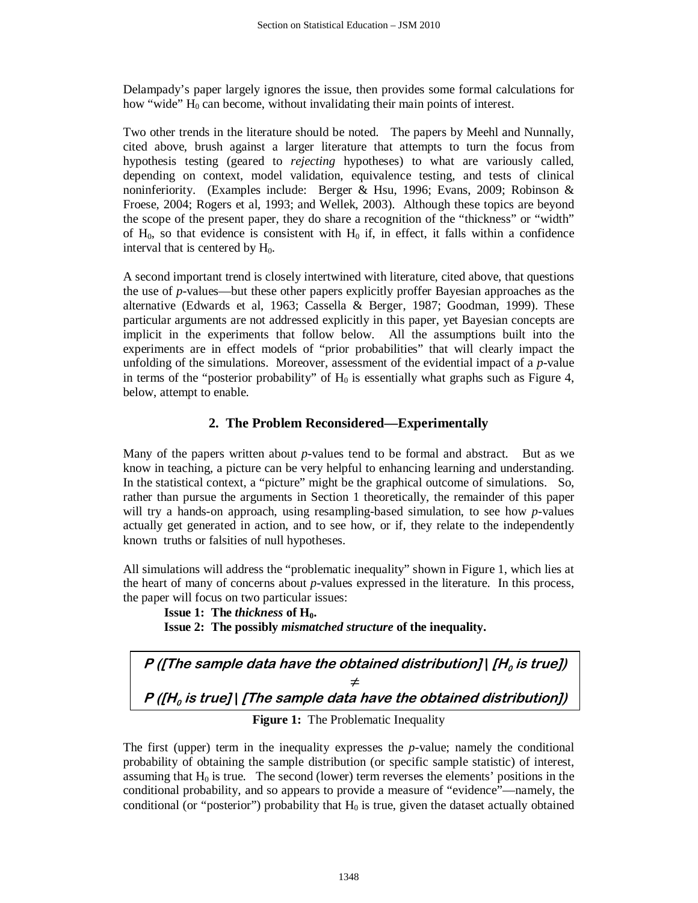Delampady's paper largely ignores the issue, then provides some formal calculations for how "wide"  $H_0$  can become, without invalidating their main points of interest.

Two other trends in the literature should be noted. The papers by Meehl and Nunnally, cited above, brush against a larger literature that attempts to turn the focus from hypothesis testing (geared to *rejecting* hypotheses) to what are variously called, depending on context, model validation, equivalence testing, and tests of clinical noninferiority. (Examples include: Berger & Hsu, 1996; Evans, 2009; Robinson & Froese, 2004; Rogers et al, 1993; and Wellek, 2003). Although these topics are beyond the scope of the present paper, they do share a recognition of the "thickness" or "width" of  $H_0$ , so that evidence is consistent with  $H_0$  if, in effect, it falls within a confidence interval that is centered by  $H_0$ .

A second important trend is closely intertwined with literature, cited above, that questions the use of *p*-values—but these other papers explicitly proffer Bayesian approaches as the alternative (Edwards et al, 1963; Cassella & Berger, 1987; Goodman, 1999). These particular arguments are not addressed explicitly in this paper, yet Bayesian concepts are implicit in the experiments that follow below. All the assumptions built into the experiments are in effect models of "prior probabilities" that will clearly impact the unfolding of the simulations. Moreover, assessment of the evidential impact of a *p*-value in terms of the "posterior probability" of  $H_0$  is essentially what graphs such as Figure 4, below, attempt to enable.

# **2. The Problem Reconsidered—Experimentally**

Many of the papers written about *p*-values tend to be formal and abstract. But as we know in teaching, a picture can be very helpful to enhancing learning and understanding. In the statistical context, a "picture" might be the graphical outcome of simulations. So, rather than pursue the arguments in Section 1 theoretically, the remainder of this paper will try a hands-on approach, using resampling-based simulation, to see how *p*-values actually get generated in action, and to see how, or if, they relate to the independently known truths or falsities of null hypotheses.

All simulations will address the "problematic inequality" shown in Figure 1, which lies at the heart of many of concerns about *p*-values expressed in the literature. In this process, the paper will focus on two particular issues:

**Issue 1:** The *thickness* of  $H_0$ .

**Issue 2: The possibly** *mismatched structure* **of the inequality.**

**P** ([The sample data have the obtained distribution]  $[H_0]$  is true]) **≠ P** ([H<sub>o</sub> is true] | [The sample data have the obtained distribution])

**Figure 1:** The Problematic Inequality

The first (upper) term in the inequality expresses the *p*-value; namely the conditional probability of obtaining the sample distribution (or specific sample statistic) of interest, assuming that  $H_0$  is true. The second (lower) term reverses the elements' positions in the conditional probability, and so appears to provide a measure of "evidence"—namely, the conditional (or "posterior") probability that  $H_0$  is true, given the dataset actually obtained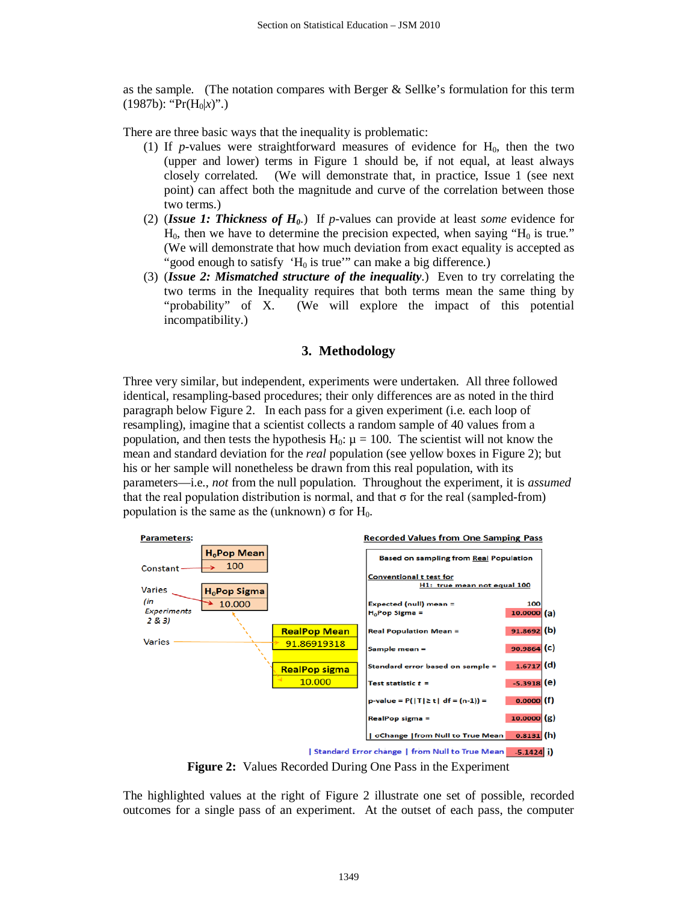as the sample. (The notation compares with Berger  $\&$  Sellke's formulation for this term  $(1987b)$ : "Pr $(H_0|x)$ ".)

There are three basic ways that the inequality is problematic:

- (1) If *p*-values were straightforward measures of evidence for  $H_0$ , then the two (upper and lower) terms in Figure 1 should be, if not equal, at least always closely correlated. (We will demonstrate that, in practice, Issue 1 (see next point) can affect both the magnitude and curve of the correlation between those two terms.)
- (2) (*Issue 1: Thickness of H0*.) If *p*-values can provide at least *some* evidence for  $H_0$ , then we have to determine the precision expected, when saying " $H_0$  is true." (We will demonstrate that how much deviation from exact equality is accepted as "good enough to satisfy  $H_0$  is true" can make a big difference.)
- (3) (*Issue 2: Mismatched structure of the inequality*.) Even to try correlating the two terms in the Inequality requires that both terms mean the same thing by "probability" of X. (We will explore the impact of this potential incompatibility.)

# **3. Methodology**

Three very similar, but independent, experiments were undertaken. All three followed identical, resampling-based procedures; their only differences are as noted in the third paragraph below Figure 2. In each pass for a given experiment (i.e. each loop of resampling), imagine that a scientist collects a random sample of 40 values from a population, and then tests the hypothesis  $H_0$ :  $\mu = 100$ . The scientist will not know the mean and standard deviation for the *real* population (see yellow boxes in Figure 2); but his or her sample will nonetheless be drawn from this real population, with its parameters—i.e., *not* from the null population. Throughout the experiment, it is *assumed*  that the real population distribution is normal, and that  $\sigma$  for the real (sampled-from) population is the same as the (unknown)  $\sigma$  for H<sub>0</sub>.



**Figure 2:** Values Recorded During One Pass in the Experiment

The highlighted values at the right of Figure 2 illustrate one set of possible, recorded outcomes for a single pass of an experiment. At the outset of each pass, the computer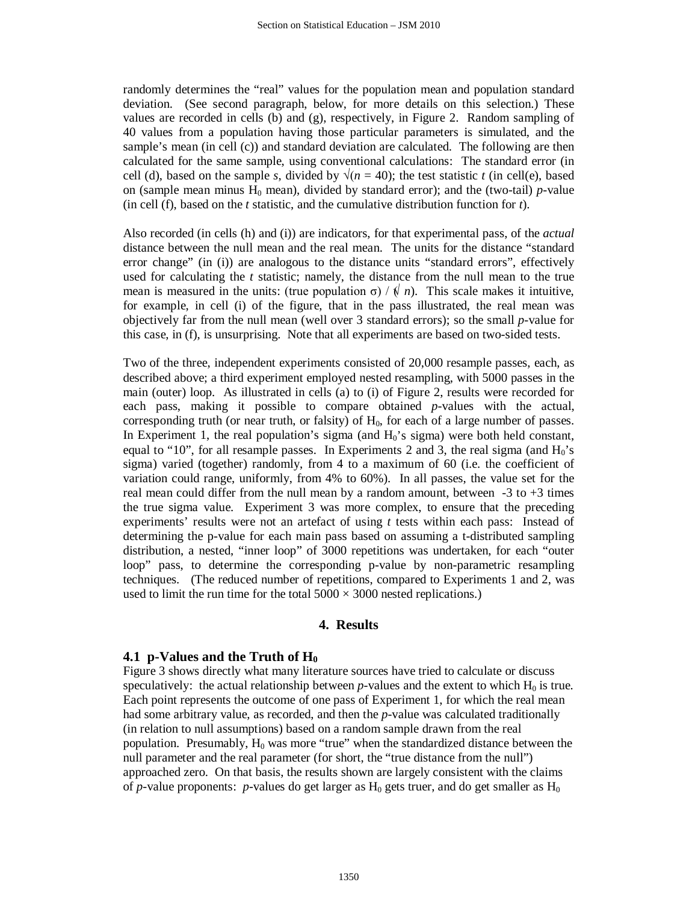randomly determines the "real" values for the population mean and population standard deviation. (See second paragraph, below, for more details on this selection.) These values are recorded in cells (b) and (g), respectively, in Figure 2. Random sampling of 40 values from a population having those particular parameters is simulated, and the sample's mean (in cell (c)) and standard deviation are calculated. The following are then calculated for the same sample, using conventional calculations: The standard error (in cell (d), based on the sample *s*, divided by  $\sqrt{(n=40)}$ ; the test statistic *t* (in cell(e), based on (sample mean minus  $H_0$  mean), divided by standard error); and the (two-tail) *p*-value (in cell (f), based on the *t* statistic, and the cumulative distribution function for *t*).

Also recorded (in cells (h) and (i)) are indicators, for that experimental pass, of the *actual* distance between the null mean and the real mean. The units for the distance "standard error change" (in (i)) are analogous to the distance units "standard errors", effectively used for calculating the *t* statistic; namely, the distance from the null mean to the true mean is measured in the units: (true population  $\sigma$ ) /  $\oint n$ ). This scale makes it intuitive, for example, in cell (i) of the figure, that in the pass illustrated, the real mean was objectively far from the null mean (well over 3 standard errors); so the small *p*-value for this case, in (f), is unsurprising. Note that all experiments are based on two-sided tests.

Two of the three, independent experiments consisted of 20,000 resample passes, each, as described above; a third experiment employed nested resampling, with 5000 passes in the main (outer) loop. As illustrated in cells (a) to (i) of Figure 2, results were recorded for each pass, making it possible to compare obtained *p*-values with the actual, corresponding truth (or near truth, or falsity) of  $H_0$ , for each of a large number of passes. In Experiment 1, the real population's sigma (and  $H_0$ 's sigma) were both held constant, equal to "10", for all resample passes. In Experiments 2 and 3, the real sigma (and  $H_0$ 's sigma) varied (together) randomly, from 4 to a maximum of 60 (i.e. the coefficient of variation could range, uniformly, from 4% to 60%). In all passes, the value set for the real mean could differ from the null mean by a random amount, between  $-3$  to  $+3$  times the true sigma value. Experiment 3 was more complex, to ensure that the preceding experiments' results were not an artefact of using *t* tests within each pass: Instead of determining the p-value for each main pass based on assuming a t-distributed sampling distribution, a nested, "inner loop" of 3000 repetitions was undertaken, for each "outer loop" pass, to determine the corresponding p-value by non-parametric resampling techniques. (The reduced number of repetitions, compared to Experiments 1 and 2, was used to limit the run time for the total  $5000 \times 3000$  nested replications.)

## **4. Results**

## **4.1 p-Values and the Truth of H<sub>0</sub>**

Figure 3 shows directly what many literature sources have tried to calculate or discuss speculatively: the actual relationship between  $p$ -values and the extent to which  $H_0$  is true. Each point represents the outcome of one pass of Experiment 1, for which the real mean had some arbitrary value, as recorded, and then the *p-*value was calculated traditionally (in relation to null assumptions) based on a random sample drawn from the real population. Presumably,  $H_0$  was more "true" when the standardized distance between the null parameter and the real parameter (for short, the "true distance from the null") approached zero. On that basis, the results shown are largely consistent with the claims of *p*-value proponents: *p*-values do get larger as  $H_0$  gets truer, and do get smaller as  $H_0$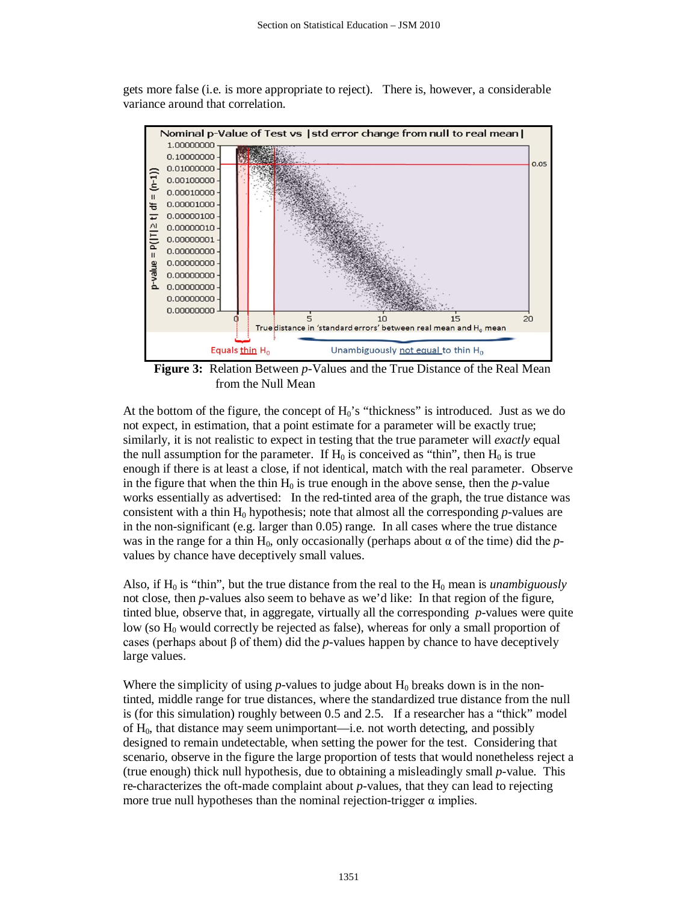

gets more false (i.e. is more appropriate to reject). There is, however, a considerable variance around that correlation.

**Figure 3:** Relation Between *p*-Values and the True Distance of the Real Mean from the Null Mean

At the bottom of the figure, the concept of  $H_0$ 's "thickness" is introduced. Just as we do not expect, in estimation, that a point estimate for a parameter will be exactly true; similarly, it is not realistic to expect in testing that the true parameter will *exactly* equal the null assumption for the parameter. If  $H_0$  is conceived as "thin", then  $H_0$  is true enough if there is at least a close, if not identical, match with the real parameter. Observe in the figure that when the thin  $H_0$  is true enough in the above sense, then the  $p$ -value works essentially as advertised: In the red-tinted area of the graph, the true distance was consistent with a thin  $H_0$  hypothesis; note that almost all the corresponding *p*-values are in the non-significant (e.g. larger than  $0.05$ ) range. In all cases where the true distance was in the range for a thin  $H_0$ , only occasionally (perhaps about  $\alpha$  of the time) did the *p*values by chance have deceptively small values.

Also, if  $H_0$  is "thin", but the true distance from the real to the  $H_0$  mean is *unambiguously* not close, then *p*-values also seem to behave as we'd like: In that region of the figure, tinted blue, observe that, in aggregate, virtually all the corresponding *p*-values were quite low (so  $H_0$  would correctly be rejected as false), whereas for only a small proportion of cases (perhaps about  $\beta$  of them) did the *p*-values happen by chance to have deceptively large values.

Where the simplicity of using *p*-values to judge about  $H_0$  breaks down is in the nontinted, middle range for true distances, where the standardized true distance from the null is (for this simulation) roughly between 0.5 and 2.5. If a researcher has a "thick" model of H0, that distance may seem unimportant—i.e. not worth detecting, and possibly designed to remain undetectable, when setting the power for the test. Considering that scenario, observe in the figure the large proportion of tests that would nonetheless reject a (true enough) thick null hypothesis, due to obtaining a misleadingly small *p*-value. This re-characterizes the oft-made complaint about *p*-values, that they can lead to rejecting more true null hypotheses than the nominal rejection-trigger  $\alpha$  implies.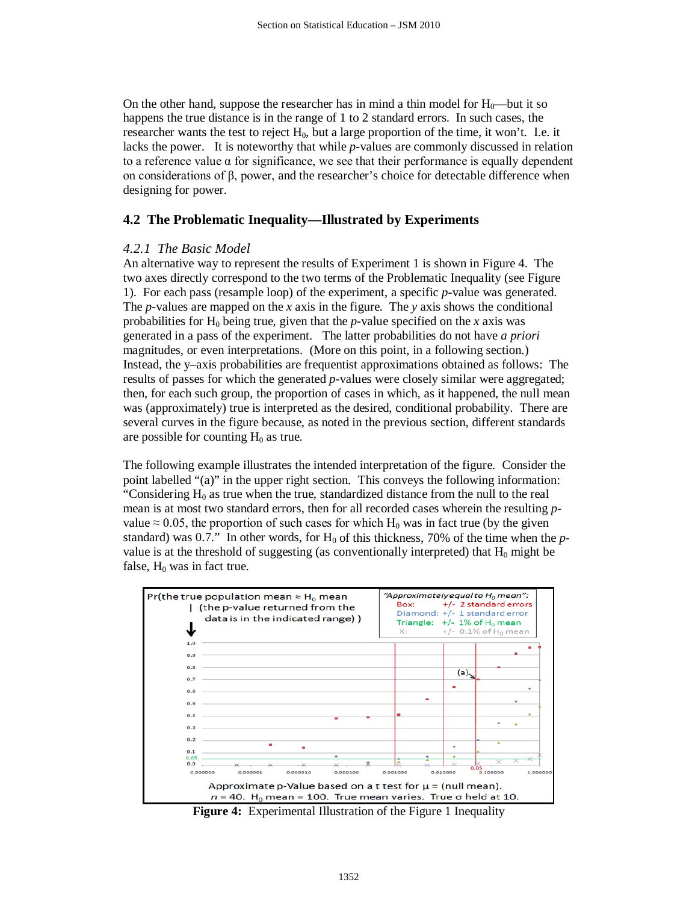On the other hand, suppose the researcher has in mind a thin model for  $H_0$ —but it so happens the true distance is in the range of 1 to 2 standard errors. In such cases, the researcher wants the test to reject  $H_0$ , but a large proportion of the time, it won't. I.e. it lacks the power. It is noteworthy that while *p*-values are commonly discussed in relation to a reference value  $\alpha$  for significance, we see that their performance is equally dependent on considerations of β, power, and the researcher's choice for detectable difference when designing for power.

#### **4.2 The Problematic Inequality—Illustrated by Experiments**

#### *4.2.1 The Basic Model*

An alternative way to represent the results of Experiment 1 is shown in Figure 4. The two axes directly correspond to the two terms of the Problematic Inequality (see Figure 1). For each pass (resample loop) of the experiment, a specific *p*-value was generated. The *p*-values are mapped on the *x* axis in the figure. The *y* axis shows the conditional probabilities for  $H_0$  being true, given that the *p*-value specified on the *x* axis was generated in a pass of the experiment. The latter probabilities do not have *a priori*  magnitudes, or even interpretations. (More on this point, in a following section.) Instead, the y–axis probabilities are frequentist approximations obtained as follows: The results of passes for which the generated *p*-values were closely similar were aggregated; then, for each such group, the proportion of cases in which, as it happened, the null mean was (approximately) true is interpreted as the desired, conditional probability. There are several curves in the figure because, as noted in the previous section, different standards are possible for counting  $H_0$  as true.

The following example illustrates the intended interpretation of the figure. Consider the point labelled "(a)" in the upper right section. This conveys the following information: "Considering  $H_0$  as true when the true, standardized distance from the null to the real mean is at most two standard errors, then for all recorded cases wherein the resulting *p*value  $\approx 0.05$ , the proportion of such cases for which H<sub>0</sub> was in fact true (by the given standard) was 0.7." In other words, for  $H_0$  of this thickness, 70% of the time when the *p*value is at the threshold of suggesting (as conventionally interpreted) that  $H_0$  might be false,  $H_0$  was in fact true.



**Figure 4:** Experimental Illustration of the Figure 1 Inequality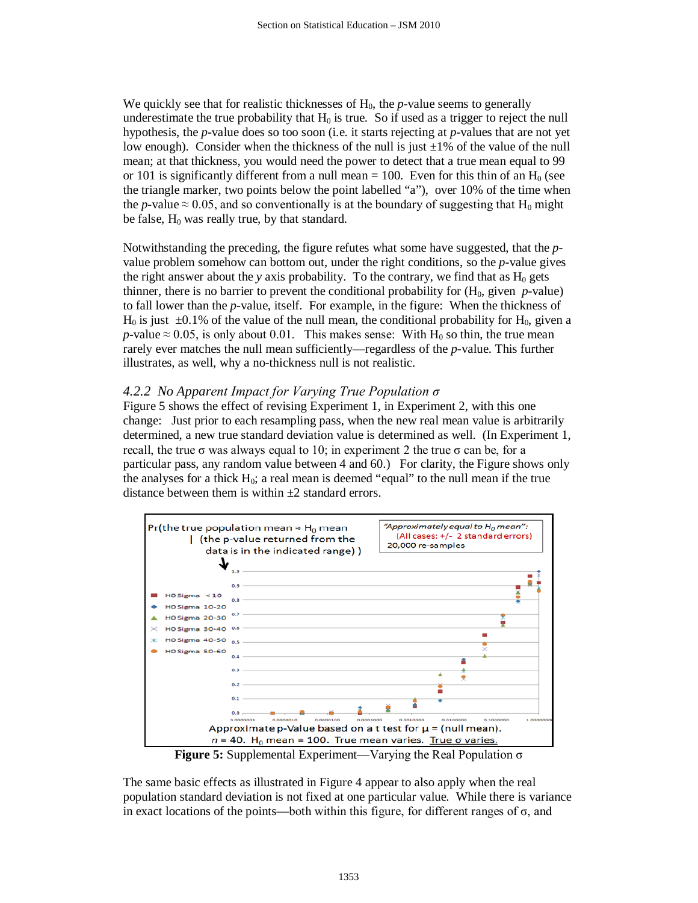We quickly see that for realistic thicknesses of  $H_0$ , the  $p$ -value seems to generally underestimate the true probability that  $H_0$  is true. So if used as a trigger to reject the null hypothesis, the *p*-value does so too soon (i.e. it starts rejecting at *p*-values that are not yet low enough). Consider when the thickness of the null is just  $\pm 1\%$  of the value of the null mean; at that thickness, you would need the power to detect that a true mean equal to 99 or 101 is significantly different from a null mean = 100. Even for this thin of an  $H_0$  (see the triangle marker, two points below the point labelled "a"), over 10% of the time when the *p*-value  $\approx 0.05$ , and so conventionally is at the boundary of suggesting that H<sub>0</sub> might be false,  $H_0$  was really true, by that standard.

Notwithstanding the preceding, the figure refutes what some have suggested, that the *p*value problem somehow can bottom out, under the right conditions, so the *p*-value gives the right answer about the *y* axis probability. To the contrary, we find that as  $H_0$  gets thinner, there is no barrier to prevent the conditional probability for  $(H_0, \text{ given } p\text{-value})$ to fall lower than the *p*-value, itself. For example, in the figure: When the thickness of  $H_0$  is just  $\pm 0.1\%$  of the value of the null mean, the conditional probability for  $H_0$ , given a *p*-value  $\approx$  0.05, is only about 0.01. This makes sense: With H<sub>0</sub> so thin, the true mean rarely ever matches the null mean sufficiently—regardless of the *p*-value. This further illustrates, as well, why a no-thickness null is not realistic.

# *4.2.2 No Apparent Impact for Varying True Population σ*

Figure 5 shows the effect of revising Experiment 1, in Experiment 2, with this one change: Just prior to each resampling pass, when the new real mean value is arbitrarily determined, a new true standard deviation value is determined as well. (In Experiment 1, recall, the true σ was always equal to 10; in experiment 2 the true σ can be, for a particular pass, any random value between 4 and 60.) For clarity, the Figure shows only the analyses for a thick  $H_0$ ; a real mean is deemed "equal" to the null mean if the true distance between them is within  $\pm 2$  standard errors.



**Figure 5:** Supplemental Experiment—Varying the Real Population σ

The same basic effects as illustrated in Figure 4 appear to also apply when the real population standard deviation is not fixed at one particular value. While there is variance in exact locations of the points—both within this figure, for different ranges of  $\sigma$ , and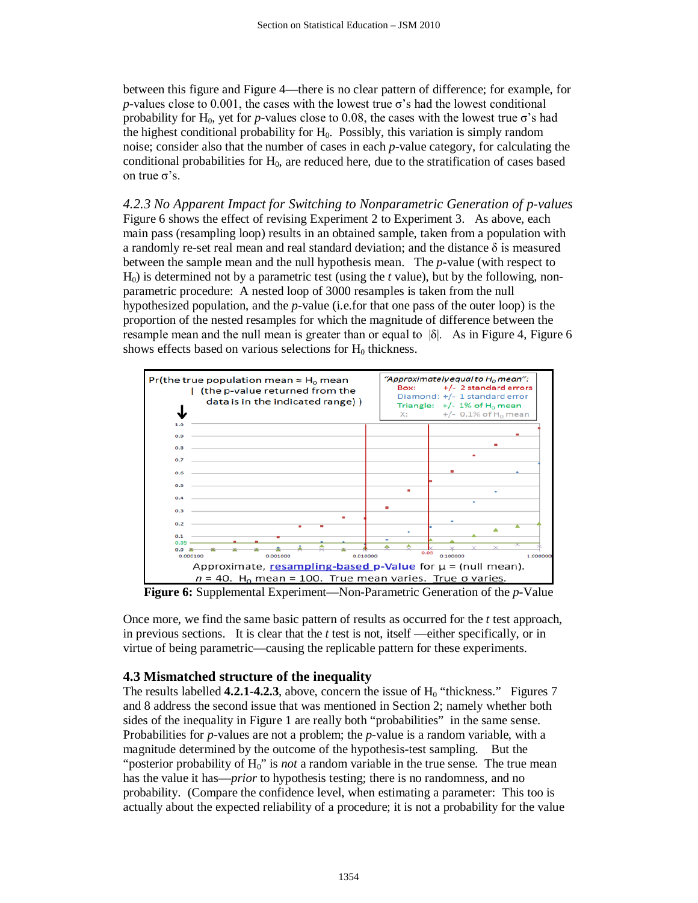between this figure and Figure 4—there is no clear pattern of difference; for example, for *p*-values close to 0.001, the cases with the lowest true  $\sigma$ 's had the lowest conditional probability for H<sub>0</sub>, yet for *p*-values close to 0.08, the cases with the lowest true  $\sigma$ 's had the highest conditional probability for  $H_0$ . Possibly, this variation is simply random noise; consider also that the number of cases in each *p*-value category, for calculating the conditional probabilities for  $H_0$ , are reduced here, due to the stratification of cases based on true σ's.

*4.2.3 No Apparent Impact for Switching to Nonparametric Generation of p-values* Figure 6 shows the effect of revising Experiment 2 to Experiment 3. As above, each main pass (resampling loop) results in an obtained sample, taken from a population with a randomly re-set real mean and real standard deviation; and the distance  $\delta$  is measured between the sample mean and the null hypothesis mean. The *p*-value (with respect to  $H<sub>0</sub>$ ) is determined not by a parametric test (using the *t* value), but by the following, nonparametric procedure: A nested loop of 3000 resamples is taken from the null hypothesized population, and the *p*-value (i.e.for that one pass of the outer loop) is the proportion of the nested resamples for which the magnitude of difference between the resample mean and the null mean is greater than or equal to  $|\delta|$ . As in Figure 4, Figure 6 shows effects based on various selections for  $H_0$  thickness.



**Figure 6:** Supplemental Experiment—Non-Parametric Generation of the *p*-Value

Once more, we find the same basic pattern of results as occurred for the *t* test approach, in previous sections. It is clear that the *t* test is not, itself —either specifically, or in virtue of being parametric—causing the replicable pattern for these experiments.

# **4.3 Mismatched structure of the inequality**

The results labelled **4.2.1-4.2.3**, above, concern the issue of  $H_0$  "thickness." Figures 7 and 8 address the second issue that was mentioned in Section 2; namely whether both sides of the inequality in Figure 1 are really both "probabilities" in the same sense. Probabilities for *p*-values are not a problem; the *p*-value is a random variable, with a magnitude determined by the outcome of the hypothesis-test sampling. But the "posterior probability of H<sub>0</sub>" is *not* a random variable in the true sense. The true mean has the value it has—*prior* to hypothesis testing; there is no randomness, and no probability. (Compare the confidence level, when estimating a parameter: This too is actually about the expected reliability of a procedure; it is not a probability for the value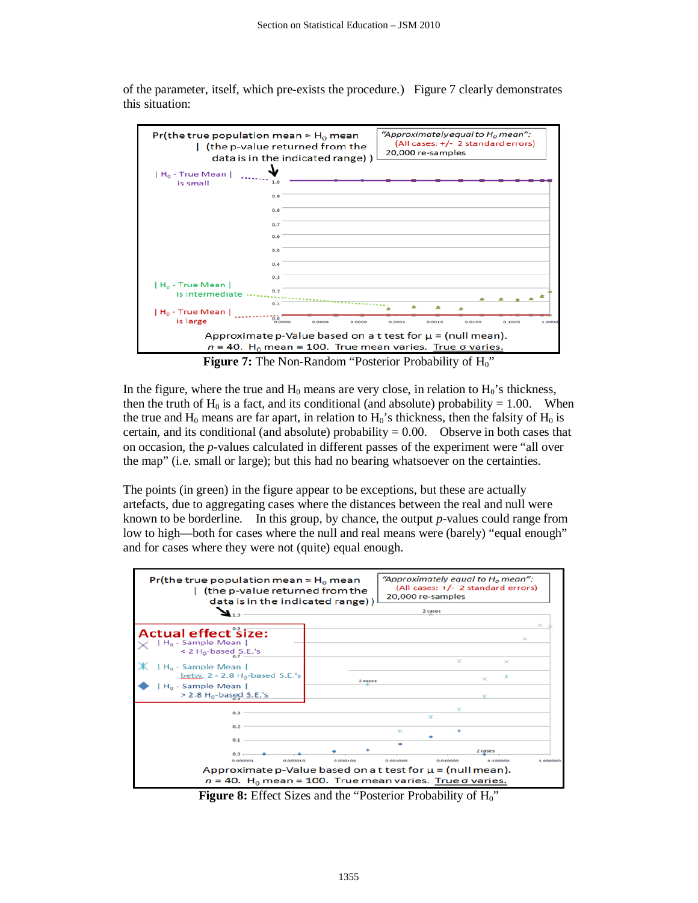

of the parameter, itself, which pre-exists the procedure.) Figure 7 clearly demonstrates this situation:

**Figure 7:** The Non-Random "Posterior Probability of H<sub>0</sub>"

In the figure, where the true and  $H_0$  means are very close, in relation to  $H_0$ 's thickness, then the truth of  $H_0$  is a fact, and its conditional (and absolute) probability = 1.00. When the true and  $H_0$  means are far apart, in relation to  $H_0$ 's thickness, then the falsity of  $H_0$  is certain, and its conditional (and absolute) probability  $= 0.00$ . Observe in both cases that on occasion, the *p*-values calculated in different passes of the experiment were "all over the map" (i.e. small or large); but this had no bearing whatsoever on the certainties.

The points (in green) in the figure appear to be exceptions, but these are actually artefacts, due to aggregating cases where the distances between the real and null were known to be borderline. In this group, by chance, the output *p*-values could range from low to high—both for cases where the null and real means were (barely) "equal enough" and for cases where they were not (quite) equal enough.



**Figure 8:** Effect Sizes and the "Posterior Probability of H<sub>0</sub>"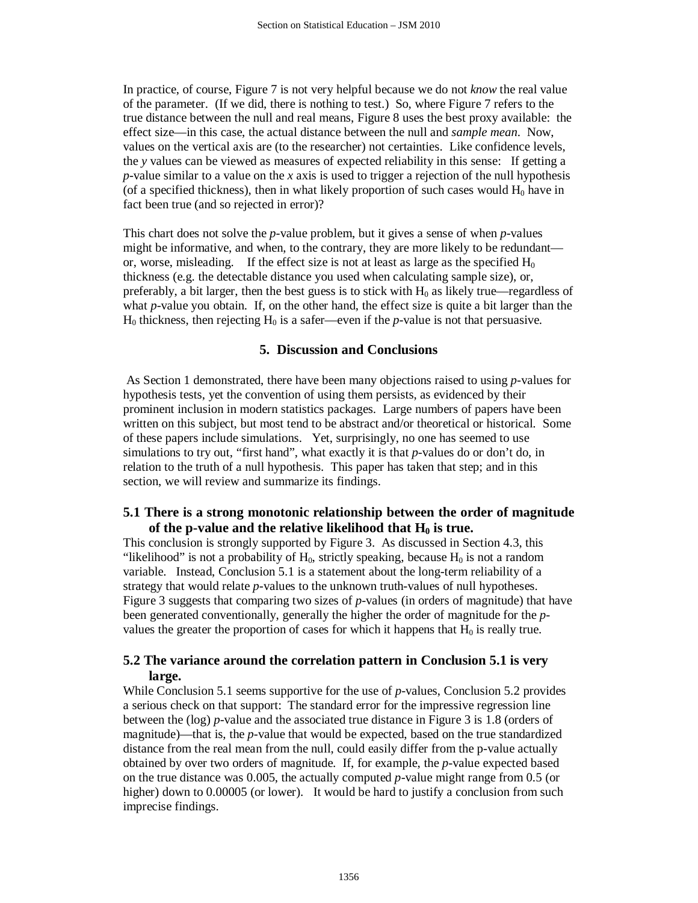In practice, of course, Figure 7 is not very helpful because we do not *know* the real value of the parameter. (If we did, there is nothing to test.) So, where Figure 7 refers to the true distance between the null and real means, Figure 8 uses the best proxy available: the effect size—in this case, the actual distance between the null and *sample mean*. Now, values on the vertical axis are (to the researcher) not certainties. Like confidence levels, the *y* values can be viewed as measures of expected reliability in this sense: If getting a *p*-value similar to a value on the *x* axis is used to trigger a rejection of the null hypothesis (of a specified thickness), then in what likely proportion of such cases would  $H_0$  have in fact been true (and so rejected in error)?

This chart does not solve the *p-*value problem, but it gives a sense of when *p*-values might be informative, and when, to the contrary, they are more likely to be redundant or, worse, misleading. If the effect size is not at least as large as the specified  $H_0$ thickness (e.g. the detectable distance you used when calculating sample size), or, preferably, a bit larger, then the best guess is to stick with  $H_0$  as likely true—regardless of what *p*-value you obtain. If, on the other hand, the effect size is quite a bit larger than the  $H_0$  thickness, then rejecting  $H_0$  is a safer—even if the *p*-value is not that persuasive.

## **5. Discussion and Conclusions**

As Section 1 demonstrated, there have been many objections raised to using *p*-values for hypothesis tests, yet the convention of using them persists, as evidenced by their prominent inclusion in modern statistics packages. Large numbers of papers have been written on this subject, but most tend to be abstract and/or theoretical or historical. Some of these papers include simulations. Yet, surprisingly, no one has seemed to use simulations to try out, "first hand", what exactly it is that *p*-values do or don't do, in relation to the truth of a null hypothesis. This paper has taken that step; and in this section, we will review and summarize its findings.

# **5.1 There is a strong monotonic relationship between the order of magnitude**  of the p-value and the relative likelihood that  $H_0$  is true.

This conclusion is strongly supported by Figure 3. As discussed in Section 4.3, this "likelihood" is not a probability of  $H_0$ , strictly speaking, because  $H_0$  is not a random variable. Instead, Conclusion 5.1 is a statement about the long-term reliability of a strategy that would relate *p*-values to the unknown truth-values of null hypotheses. Figure 3 suggests that comparing two sizes of *p*-values (in orders of magnitude) that have been generated conventionally, generally the higher the order of magnitude for the *p*values the greater the proportion of cases for which it happens that  $H_0$  is really true.

# **5.2 The variance around the correlation pattern in Conclusion 5.1 is very large.**

While Conclusion 5.1 seems supportive for the use of *p*-values, Conclusion 5.2 provides a serious check on that support: The standard error for the impressive regression line between the (log) *p*-value and the associated true distance in Figure 3 is 1.8 (orders of magnitude)—that is, the *p*-value that would be expected, based on the true standardized distance from the real mean from the null, could easily differ from the p-value actually obtained by over two orders of magnitude. If, for example, the *p*-value expected based on the true distance was 0.005, the actually computed *p-*value might range from 0.5 (or higher) down to 0.00005 (or lower). It would be hard to justify a conclusion from such imprecise findings.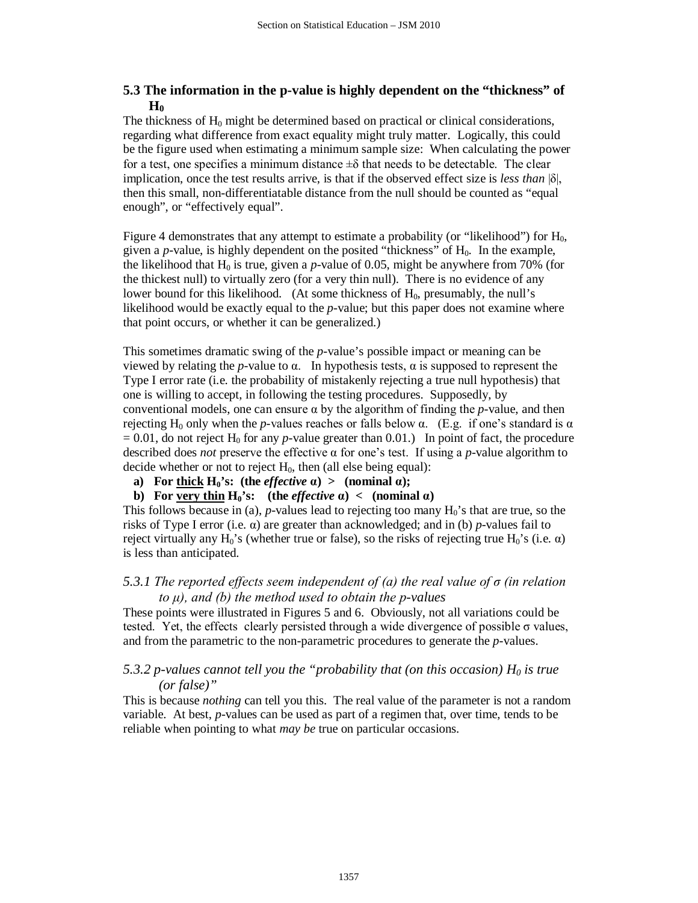# **5.3 The information in the p-value is highly dependent on the "thickness" of**   $H_0$

The thickness of  $H_0$  might be determined based on practical or clinical considerations, regarding what difference from exact equality might truly matter. Logically, this could be the figure used when estimating a minimum sample size: When calculating the power for a test, one specifies a minimum distance  $\pm \delta$  that needs to be detectable. The clear implication, once the test results arrive, is that if the observed effect size is *less than* |δ|, then this small, non-differentiatable distance from the null should be counted as "equal enough", or "effectively equal".

Figure 4 demonstrates that any attempt to estimate a probability (or "likelihood") for  $H_0$ , given a *p*-value, is highly dependent on the posited "thickness" of H<sub>0</sub>. In the example, the likelihood that  $H_0$  is true, given a *p*-value of 0.05, might be anywhere from 70% (for the thickest null) to virtually zero (for a very thin null). There is no evidence of any lower bound for this likelihood. (At some thickness of  $H_0$ , presumably, the null's likelihood would be exactly equal to the *p*-value; but this paper does not examine where that point occurs, or whether it can be generalized.)

This sometimes dramatic swing of the *p*-value's possible impact or meaning can be viewed by relating the *p*-value to α. In hypothesis tests, α is supposed to represent the Type I error rate (i.e. the probability of mistakenly rejecting a true null hypothesis) that one is willing to accept, in following the testing procedures. Supposedly, by conventional models, one can ensure  $\alpha$  by the algorithm of finding the *p*-value, and then rejecting H<sub>0</sub> only when the *p*-values reaches or falls below α. (E.g. if one's standard is α  $= 0.01$ , do not reject H<sub>0</sub> for any *p*-value greater than 0.01.) In point of fact, the procedure described does *not* preserve the effective α for one's test. If using a *p-*value algorithm to decide whether or not to reject  $H_0$ , then (all else being equal):

**a**) **For thick H<sub>0</sub>'s: (the** *effective*  $\alpha$ ) > (nominal  $\alpha$ );

## **b) For very thin <b>H**<sup>0</sup>'s: (the *effective*  $\alpha$ ) < (nominal  $\alpha$ )

This follows because in (a),  $p$ -values lead to rejecting too many  $H_0$ 's that are true, so the risks of Type I error (i.e.  $\alpha$ ) are greater than acknowledged; and in (b) *p*-values fail to reject virtually any  $H_0$ 's (whether true or false), so the risks of rejecting true  $H_0$ 's (i.e.  $\alpha$ ) is less than anticipated.

## *5.3.1 The reported effects seem independent of (a) the real value of σ (in relation to μ), and (b) the method used to obtain the p-values*

These points were illustrated in Figures 5 and 6. Obviously, not all variations could be tested. Yet, the effects clearly persisted through a wide divergence of possible  $\sigma$  values, and from the parametric to the non-parametric procedures to generate the *p*-values.

## *5.3.2 p-values cannot tell you the "probability that (on this occasion)*  $H_0$  *is true (or false)"*

This is because *nothing* can tell you this. The real value of the parameter is not a random variable. At best, *p*-values can be used as part of a regimen that, over time, tends to be reliable when pointing to what *may be* true on particular occasions.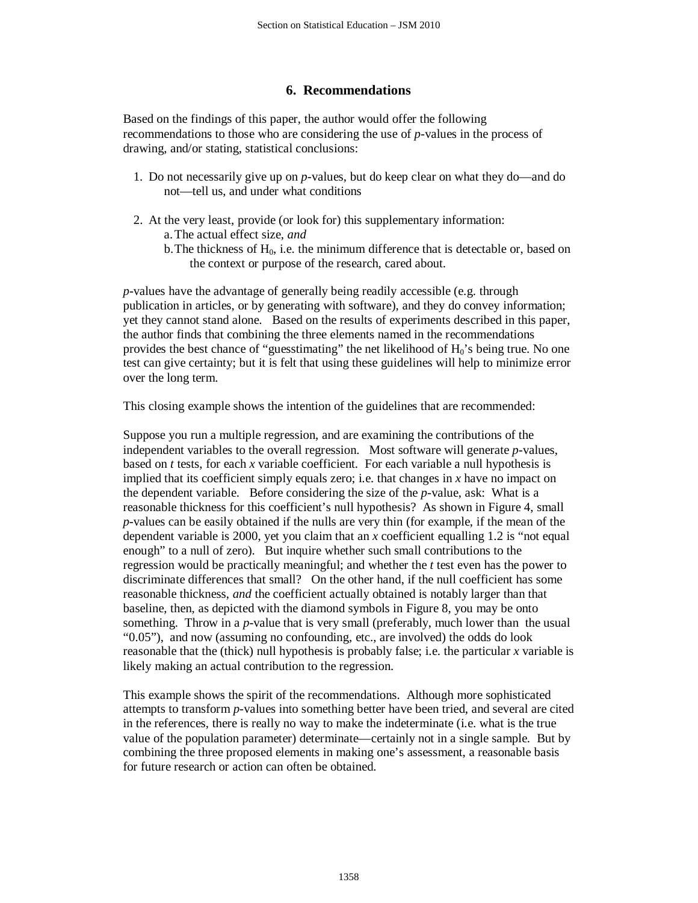# **6. Recommendations**

Based on the findings of this paper, the author would offer the following recommendations to those who are considering the use of *p*-values in the process of drawing, and/or stating, statistical conclusions:

- 1. Do not necessarily give up on *p*-values, but do keep clear on what they do—and do not—tell us, and under what conditions
- 2. At the very least, provide (or look for) this supplementary information: a.The actual effect size, *and*
	- b. The thickness of  $H_0$ , i.e. the minimum difference that is detectable or, based on the context or purpose of the research, cared about.

*p*-values have the advantage of generally being readily accessible (e.g. through publication in articles, or by generating with software), and they do convey information; yet they cannot stand alone. Based on the results of experiments described in this paper, the author finds that combining the three elements named in the recommendations provides the best chance of "guesstimating" the net likelihood of  $H_0$ 's being true. No one test can give certainty; but it is felt that using these guidelines will help to minimize error over the long term.

This closing example shows the intention of the guidelines that are recommended:

Suppose you run a multiple regression, and are examining the contributions of the independent variables to the overall regression. Most software will generate *p-*values, based on *t* tests, for each *x* variable coefficient. For each variable a null hypothesis is implied that its coefficient simply equals zero; i.e. that changes in *x* have no impact on the dependent variable. Before considering the size of the *p-*value, ask: What is a reasonable thickness for this coefficient's null hypothesis? As shown in Figure 4, small *p*-values can be easily obtained if the nulls are very thin (for example, if the mean of the dependent variable is 2000, yet you claim that an *x* coefficient equalling 1.2 is "not equal enough" to a null of zero). But inquire whether such small contributions to the regression would be practically meaningful; and whether the *t* test even has the power to discriminate differences that small? On the other hand, if the null coefficient has some reasonable thickness, *and* the coefficient actually obtained is notably larger than that baseline, then, as depicted with the diamond symbols in Figure 8, you may be onto something. Throw in a *p*-value that is very small (preferably, much lower than the usual "0.05"), and now (assuming no confounding, etc., are involved) the odds do look reasonable that the (thick) null hypothesis is probably false; i.e. the particular *x* variable is likely making an actual contribution to the regression.

This example shows the spirit of the recommendations. Although more sophisticated attempts to transform *p*-values into something better have been tried, and several are cited in the references, there is really no way to make the indeterminate (i.e. what is the true value of the population parameter) determinate—certainly not in a single sample. But by combining the three proposed elements in making one's assessment, a reasonable basis for future research or action can often be obtained.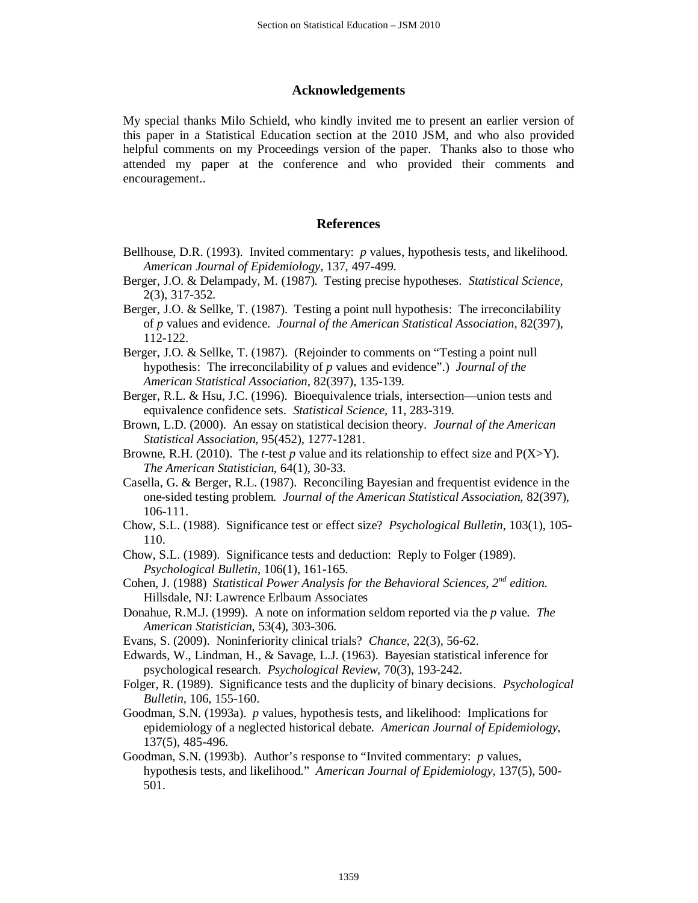#### **Acknowledgements**

My special thanks Milo Schield, who kindly invited me to present an earlier version of this paper in a Statistical Education section at the 2010 JSM, and who also provided helpful comments on my Proceedings version of the paper. Thanks also to those who attended my paper at the conference and who provided their comments and encouragement..

#### **References**

- Bellhouse, D.R. (1993). Invited commentary: *p* values, hypothesis tests, and likelihood. *American Journal of Epidemiology*, 137, 497-499.
- Berger, J.O. & Delampady, M. (1987). Testing precise hypotheses. *Statistical Science*, 2(3), 317-352.
- Berger, J.O. & Sellke, T. (1987). Testing a point null hypothesis: The irreconcilability of *p* values and evidence. *Journal of the American Statistical Association*, 82(397), 112-122.
- Berger, J.O. & Sellke, T. (1987). (Rejoinder to comments on "Testing a point null hypothesis: The irreconcilability of *p* values and evidence".) *Journal of the American Statistical Association*, 82(397), 135-139.
- Berger, R.L. & Hsu, J.C. (1996). Bioequivalence trials, intersection—union tests and equivalence confidence sets. *Statistical Science*, 11, 283-319.
- Brown, L.D. (2000). An essay on statistical decision theory. *Journal of the American Statistical Association*, 95(452), 1277-1281.
- Browne, R.H. (2010). The *t*-test *p* value and its relationship to effect size and  $P(X>Y)$ . *The American Statistician*, 64(1), 30-33.
- Casella, G. & Berger, R.L. (1987). Reconciling Bayesian and frequentist evidence in the one-sided testing problem. *Journal of the American Statistical Association*, 82(397), 106-111.
- Chow, S.L. (1988). Significance test or effect size? *Psychological Bulletin*, 103(1), 105- 110.
- Chow, S.L. (1989). Significance tests and deduction: Reply to Folger (1989). *Psychological Bulletin*, 106(1), 161-165.
- Cohen, J. (1988) *Statistical Power Analysis for the Behavioral Sciences, 2nd edition.*  Hillsdale, NJ: Lawrence Erlbaum Associates
- Donahue, R.M.J. (1999). A note on information seldom reported via the *p* value. *The American Statistician*, 53(4), 303-306.
- Evans, S. (2009). Noninferiority clinical trials? *Chance*, 22(3), 56-62.
- Edwards, W., Lindman, H., & Savage, L.J. (1963). Bayesian statistical inference for psychological research. *Psychological Review*, 70(3), 193-242.
- Folger, R. (1989). Significance tests and the duplicity of binary decisions. *Psychological Bulletin*, 106, 155-160.
- Goodman, S.N. (1993a). *p* values, hypothesis tests, and likelihood: Implications for epidemiology of a neglected historical debate. *American Journal of Epidemiology*, 137(5), 485-496.
- Goodman, S.N. (1993b). Author's response to "Invited commentary: *p* values, hypothesis tests, and likelihood." *American Journal of Epidemiology*, 137(5), 500- 501.